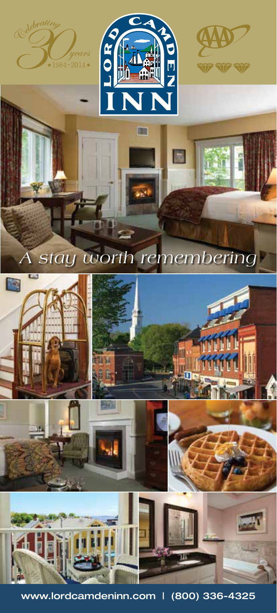



п



# *A stay worth remembering*



www.lordcamdeninn.com | (800) 336-4325